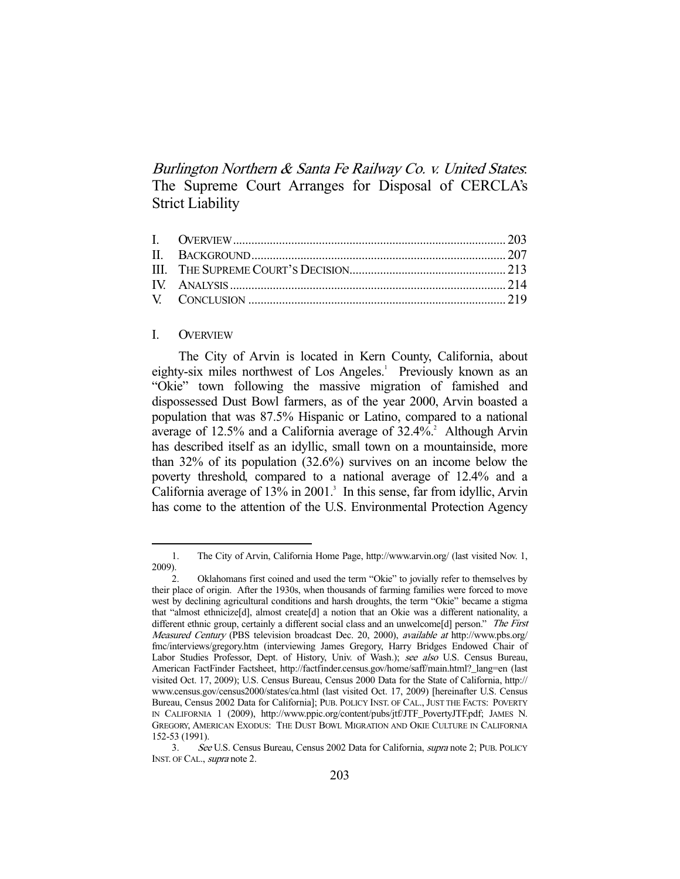Burlington Northern & Santa Fe Railway Co. v. United States: The Supreme Court Arranges for Disposal of CERCLA's Strict Liability

# I. OVERVIEW

-

 The City of Arvin is located in Kern County, California, about eighty-six miles northwest of Los Angeles.<sup>1</sup> Previously known as an "Okie" town following the massive migration of famished and dispossessed Dust Bowl farmers, as of the year 2000, Arvin boasted a population that was 87.5% Hispanic or Latino, compared to a national average of  $12.5\%$  and a California average of  $32.4\%$ <sup>2</sup> Although Arvin has described itself as an idyllic, small town on a mountainside, more than 32% of its population (32.6%) survives on an income below the poverty threshold, compared to a national average of 12.4% and a California average of  $13\%$  in  $2001$ .<sup>3</sup> In this sense, far from idyllic, Arvin has come to the attention of the U.S. Environmental Protection Agency

 <sup>1.</sup> The City of Arvin, California Home Page, http://www.arvin.org/ (last visited Nov. 1, 2009).

 <sup>2.</sup> Oklahomans first coined and used the term "Okie" to jovially refer to themselves by their place of origin. After the 1930s, when thousands of farming families were forced to move west by declining agricultural conditions and harsh droughts, the term "Okie" became a stigma that "almost ethnicize[d], almost create[d] a notion that an Okie was a different nationality, a different ethnic group, certainly a different social class and an unwelcome[d] person." The First Measured Century (PBS television broadcast Dec. 20, 2000), available at http://www.pbs.org/ fmc/interviews/gregory.htm (interviewing James Gregory, Harry Bridges Endowed Chair of Labor Studies Professor, Dept. of History, Univ. of Wash.); see also U.S. Census Bureau, American FactFinder Factsheet, http://factfinder.census.gov/home/saff/main.html?\_lang=en (last visited Oct. 17, 2009); U.S. Census Bureau, Census 2000 Data for the State of California, http:// www.census.gov/census2000/states/ca.html (last visited Oct. 17, 2009) [hereinafter U.S. Census Bureau, Census 2002 Data for California]; PUB. POLICY INST. OF CAL., JUST THE FACTS: POVERTY IN CALIFORNIA 1 (2009), http://www.ppic.org/content/pubs/jtf/JTF\_PovertyJTF.pdf; JAMES N. GREGORY, AMERICAN EXODUS: THE DUST BOWL MIGRATION AND OKIE CULTURE IN CALIFORNIA 152-53 (1991).

<sup>3.</sup> See U.S. Census Bureau, Census 2002 Data for California, *supra* note 2; PUB. POLICY INST. OF CAL., *supra* note 2.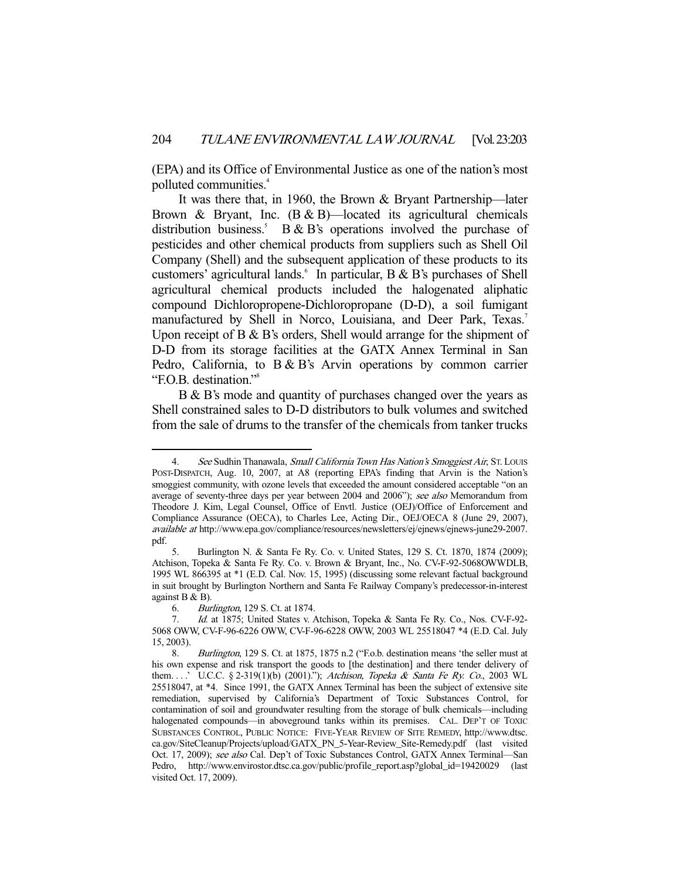(EPA) and its Office of Environmental Justice as one of the nation's most polluted communities.4

 It was there that, in 1960, the Brown & Bryant Partnership—later Brown & Bryant, Inc.  $(B & B)$ —located its agricultural chemicals distribution business.<sup>5</sup>  $B & B's$  operations involved the purchase of pesticides and other chemical products from suppliers such as Shell Oil Company (Shell) and the subsequent application of these products to its customers' agricultural lands.  $\hat{i}$  In particular, B & B's purchases of Shell agricultural chemical products included the halogenated aliphatic compound Dichloropropene-Dichloropropane (D-D), a soil fumigant manufactured by Shell in Norco, Louisiana, and Deer Park, Texas.<sup>7</sup> Upon receipt of B  $\&$  B's orders, Shell would arrange for the shipment of D-D from its storage facilities at the GATX Annex Terminal in San Pedro, California, to B & B's Arvin operations by common carrier "F.O.B. destination."8

 B & B's mode and quantity of purchases changed over the years as Shell constrained sales to D-D distributors to bulk volumes and switched from the sale of drums to the transfer of the chemicals from tanker trucks

<sup>4.</sup> See Sudhin Thanawala, *Small California Town Has Nation's Smoggiest Air*, St. Louis POST-DISPATCH, Aug. 10, 2007, at A8 (reporting EPA's finding that Arvin is the Nation's smoggiest community, with ozone levels that exceeded the amount considered acceptable "on an average of seventy-three days per year between 2004 and 2006"); see also Memorandum from Theodore J. Kim, Legal Counsel, Office of Envtl. Justice (OEJ)/Office of Enforcement and Compliance Assurance (OECA), to Charles Lee, Acting Dir., OEJ/OECA 8 (June 29, 2007), available at http://www.epa.gov/compliance/resources/newsletters/ej/ejnews/ejnews-june29-2007. pdf.

 <sup>5.</sup> Burlington N. & Santa Fe Ry. Co. v. United States, 129 S. Ct. 1870, 1874 (2009); Atchison, Topeka & Santa Fe Ry. Co. v. Brown & Bryant, Inc., No. CV-F-92-5068OWWDLB, 1995 WL 866395 at \*1 (E.D. Cal. Nov. 15, 1995) (discussing some relevant factual background in suit brought by Burlington Northern and Santa Fe Railway Company's predecessor-in-interest against B & B).

 <sup>6.</sup> Burlington, 129 S. Ct. at 1874.

 <sup>7.</sup> Id. at 1875; United States v. Atchison, Topeka & Santa Fe Ry. Co., Nos. CV-F-92- 5068 OWW, CV-F-96-6226 OWW, CV-F-96-6228 OWW, 2003 WL 25518047 \*4 (E.D. Cal. July 15, 2003).

 <sup>8.</sup> Burlington, 129 S. Ct. at 1875, 1875 n.2 ("F.o.b. destination means 'the seller must at his own expense and risk transport the goods to [the destination] and there tender delivery of them...' U.C.C. § 2-319(1)(b) (2001)."); Atchison, Topeka & Santa Fe Ry. Co., 2003 WL 25518047, at \*4. Since 1991, the GATX Annex Terminal has been the subject of extensive site remediation, supervised by California's Department of Toxic Substances Control, for contamination of soil and groundwater resulting from the storage of bulk chemicals—including halogenated compounds—in aboveground tanks within its premises. CAL. DEP'T OF TOXIC SUBSTANCES CONTROL, PUBLIC NOTICE: FIVE-YEAR REVIEW OF SITE REMEDY, http://www.dtsc. ca.gov/SiteCleanup/Projects/upload/GATX\_PN\_5-Year-Review\_Site-Remedy.pdf (last visited Oct. 17, 2009); see also Cal. Dep't of Toxic Substances Control, GATX Annex Terminal—San Pedro, http://www.envirostor.dtsc.ca.gov/public/profile\_report.asp?global\_id=19420029 (last visited Oct. 17, 2009).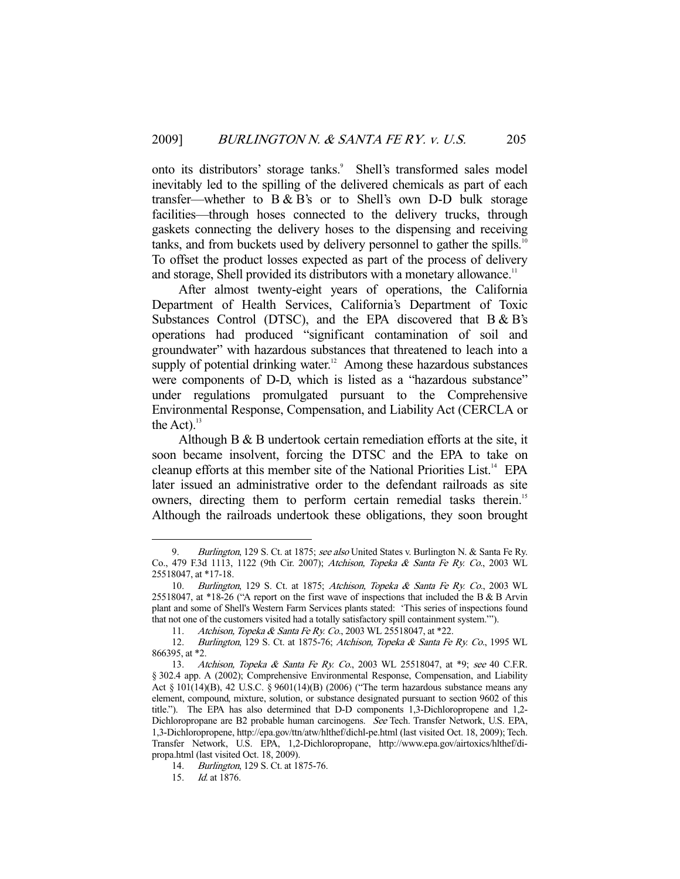onto its distributors' storage tanks.<sup>9</sup> Shell's transformed sales model inevitably led to the spilling of the delivered chemicals as part of each transfer—whether to  $B & B's$  or to Shell's own D-D bulk storage facilities—through hoses connected to the delivery trucks, through gaskets connecting the delivery hoses to the dispensing and receiving tanks, and from buckets used by delivery personnel to gather the spills.<sup>10</sup> To offset the product losses expected as part of the process of delivery and storage, Shell provided its distributors with a monetary allowance.<sup>11</sup>

 After almost twenty-eight years of operations, the California Department of Health Services, California's Department of Toxic Substances Control (DTSC), and the EPA discovered that B & B's operations had produced "significant contamination of soil and groundwater" with hazardous substances that threatened to leach into a supply of potential drinking water.<sup>12</sup> Among these hazardous substances were components of D-D, which is listed as a "hazardous substance" under regulations promulgated pursuant to the Comprehensive Environmental Response, Compensation, and Liability Act (CERCLA or the Act). $^{13}$ 

 Although B & B undertook certain remediation efforts at the site, it soon became insolvent, forcing the DTSC and the EPA to take on cleanup efforts at this member site of the National Priorities List.<sup>14</sup> EPA later issued an administrative order to the defendant railroads as site owners, directing them to perform certain remedial tasks therein.<sup>15</sup> Although the railroads undertook these obligations, they soon brought

<sup>9.</sup> Burlington, 129 S. Ct. at 1875; see also United States v. Burlington N. & Santa Fe Ry. Co., 479 F.3d 1113, 1122 (9th Cir. 2007); Atchison, Topeka & Santa Fe Ry. Co., 2003 WL 25518047, at \*17-18.

 <sup>10.</sup> Burlington, 129 S. Ct. at 1875; Atchison, Topeka & Santa Fe Ry. Co., 2003 WL 25518047, at \*18-26 ("A report on the first wave of inspections that included the B & B Arvin plant and some of Shell's Western Farm Services plants stated: 'This series of inspections found that not one of the customers visited had a totally satisfactory spill containment system.'").

<sup>11.</sup> Atchison, Topeka & Santa Fe Ry. Co., 2003 WL 25518047, at \*22.

<sup>12.</sup> Burlington, 129 S. Ct. at 1875-76; Atchison, Topeka & Santa Fe Ry. Co., 1995 WL 866395, at \*2.

<sup>13.</sup> Atchison, Topeka & Santa Fe Ry. Co., 2003 WL 25518047, at \*9; see 40 C.F.R. § 302.4 app. A (2002); Comprehensive Environmental Response, Compensation, and Liability Act § 101(14)(B), 42 U.S.C. § 9601(14)(B) (2006) ("The term hazardous substance means any element, compound, mixture, solution, or substance designated pursuant to section 9602 of this title."). The EPA has also determined that D-D components 1,3-Dichloropropene and 1,2- Dichloropropane are B2 probable human carcinogens. See Tech. Transfer Network, U.S. EPA, 1,3-Dichloropropene, http://epa.gov/ttn/atw/hlthef/dichl-pe.html (last visited Oct. 18, 2009); Tech. Transfer Network, U.S. EPA, 1,2-Dichloropropane, http://www.epa.gov/airtoxics/hlthef/dipropa.html (last visited Oct. 18, 2009).

 <sup>14.</sup> Burlington, 129 S. Ct. at 1875-76.

 <sup>15.</sup> Id. at 1876.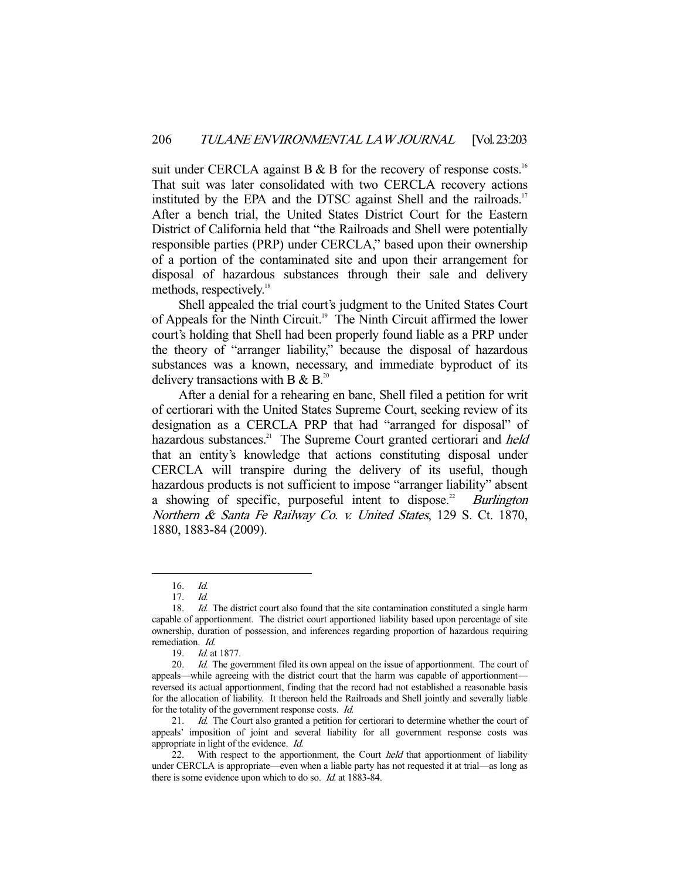suit under CERCLA against B  $\&$  B for the recovery of response costs.<sup>16</sup> That suit was later consolidated with two CERCLA recovery actions instituted by the EPA and the DTSC against Shell and the railroads.<sup>17</sup> After a bench trial, the United States District Court for the Eastern District of California held that "the Railroads and Shell were potentially responsible parties (PRP) under CERCLA," based upon their ownership of a portion of the contaminated site and upon their arrangement for disposal of hazardous substances through their sale and delivery methods, respectively.<sup>18</sup>

 Shell appealed the trial court's judgment to the United States Court of Appeals for the Ninth Circuit.<sup>19</sup> The Ninth Circuit affirmed the lower court's holding that Shell had been properly found liable as a PRP under the theory of "arranger liability," because the disposal of hazardous substances was a known, necessary, and immediate byproduct of its delivery transactions with B  $\&$  B.<sup>20</sup>

 After a denial for a rehearing en banc, Shell filed a petition for writ of certiorari with the United States Supreme Court, seeking review of its designation as a CERCLA PRP that had "arranged for disposal" of hazardous substances.<sup>21</sup> The Supreme Court granted certiorari and *held* that an entity's knowledge that actions constituting disposal under CERCLA will transpire during the delivery of its useful, though hazardous products is not sufficient to impose "arranger liability" absent a showing of specific, purposeful intent to dispose.<sup>22</sup> Burlington Northern & Santa Fe Railway Co. v. United States, 129 S. Ct. 1870, 1880, 1883-84 (2009).

 <sup>16.</sup> Id.

 <sup>17.</sup> Id.

<sup>18.</sup> *Id.* The district court also found that the site contamination constituted a single harm capable of apportionment. The district court apportioned liability based upon percentage of site ownership, duration of possession, and inferences regarding proportion of hazardous requiring remediation. Id.

 <sup>19.</sup> Id. at 1877.

<sup>20.</sup> *Id.* The government filed its own appeal on the issue of apportionment. The court of appeals—while agreeing with the district court that the harm was capable of apportionment reversed its actual apportionment, finding that the record had not established a reasonable basis for the allocation of liability. It thereon held the Railroads and Shell jointly and severally liable for the totality of the government response costs. Id.

<sup>21.</sup> Id. The Court also granted a petition for certiorari to determine whether the court of appeals' imposition of joint and several liability for all government response costs was appropriate in light of the evidence. Id.

<sup>22.</sup> With respect to the apportionment, the Court *held* that apportionment of liability under CERCLA is appropriate—even when a liable party has not requested it at trial—as long as there is some evidence upon which to do so. Id. at 1883-84.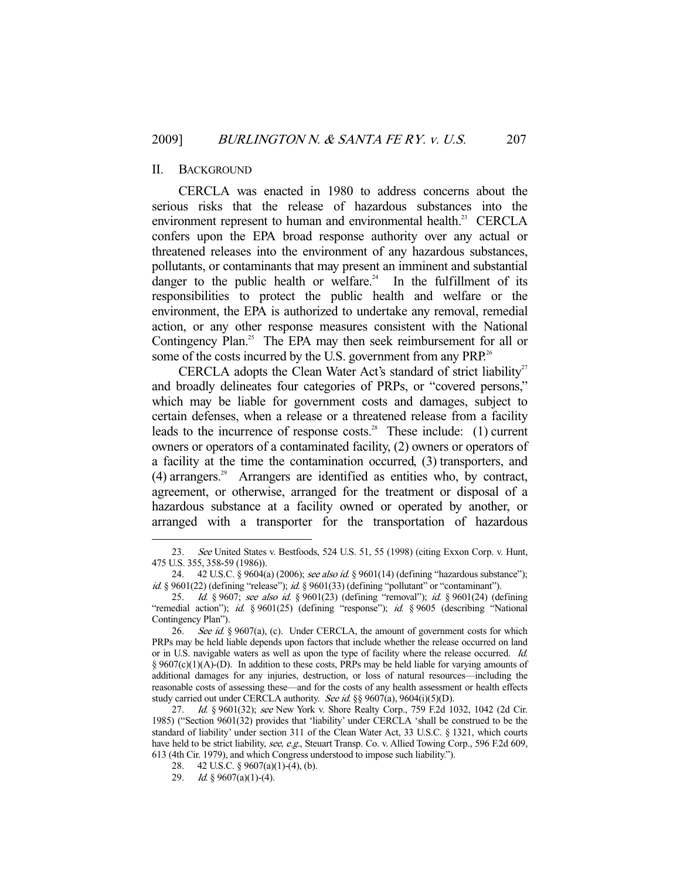## II. BACKGROUND

 CERCLA was enacted in 1980 to address concerns about the serious risks that the release of hazardous substances into the environment represent to human and environmental health.<sup>23</sup> CERCLA confers upon the EPA broad response authority over any actual or threatened releases into the environment of any hazardous substances, pollutants, or contaminants that may present an imminent and substantial danger to the public health or welfare.<sup>24</sup> In the fulfillment of its responsibilities to protect the public health and welfare or the environment, the EPA is authorized to undertake any removal, remedial action, or any other response measures consistent with the National Contingency Plan.<sup>25</sup> The EPA may then seek reimbursement for all or some of the costs incurred by the U.S. government from any PRP.<sup>26</sup>

CERCLA adopts the Clean Water Act's standard of strict liability<sup>27</sup> and broadly delineates four categories of PRPs, or "covered persons," which may be liable for government costs and damages, subject to certain defenses, when a release or a threatened release from a facility leads to the incurrence of response costs.<sup>28</sup> These include: (1) current owners or operators of a contaminated facility, (2) owners or operators of a facility at the time the contamination occurred, (3) transporters, and  $(4)$  arrangers.<sup>29</sup> Arrangers are identified as entities who, by contract, agreement, or otherwise, arranged for the treatment or disposal of a hazardous substance at a facility owned or operated by another, or arranged with a transporter for the transportation of hazardous

 <sup>23.</sup> See United States v. Bestfoods, 524 U.S. 51, 55 (1998) (citing Exxon Corp. v. Hunt, 475 U.S. 355, 358-59 (1986)).

<sup>24. 42</sup> U.S.C. § 9604(a) (2006); see also id. § 9601(14) (defining "hazardous substance"); id. § 9601(22) (defining "release"); id. § 9601(33) (defining "pollutant" or "contaminant").

<sup>25.</sup> *Id.* § 9607; see also id. § 9601(23) (defining "removal"); id. § 9601(24) (defining "remedial action"); id. § 9601(25) (defining "response"); id. § 9605 (describing "National Contingency Plan").

<sup>26.</sup> See id. § 9607(a), (c). Under CERCLA, the amount of government costs for which PRPs may be held liable depends upon factors that include whether the release occurred on land or in U.S. navigable waters as well as upon the type of facility where the release occurred. Id.  $§$  9607(c)(1)(A)-(D). In addition to these costs, PRPs may be held liable for varying amounts of additional damages for any injuries, destruction, or loss of natural resources—including the reasonable costs of assessing these—and for the costs of any health assessment or health effects study carried out under CERCLA authority. See id. §§ 9607(a), 9604(i)(5)(D).

<sup>27.</sup> Id. § 9601(32); see New York v. Shore Realty Corp., 759 F.2d 1032, 1042 (2d Cir. 1985) ("Section 9601(32) provides that 'liability' under CERCLA 'shall be construed to be the standard of liability' under section 311 of the Clean Water Act, 33 U.S.C. § 1321, which courts have held to be strict liability, see, e.g., Steuart Transp. Co. v. Allied Towing Corp., 596 F.2d 609, 613 (4th Cir. 1979), and which Congress understood to impose such liability.").

 <sup>28. 42</sup> U.S.C. § 9607(a)(1)-(4), (b).

<sup>29.</sup> Id. § 9607(a)(1)-(4).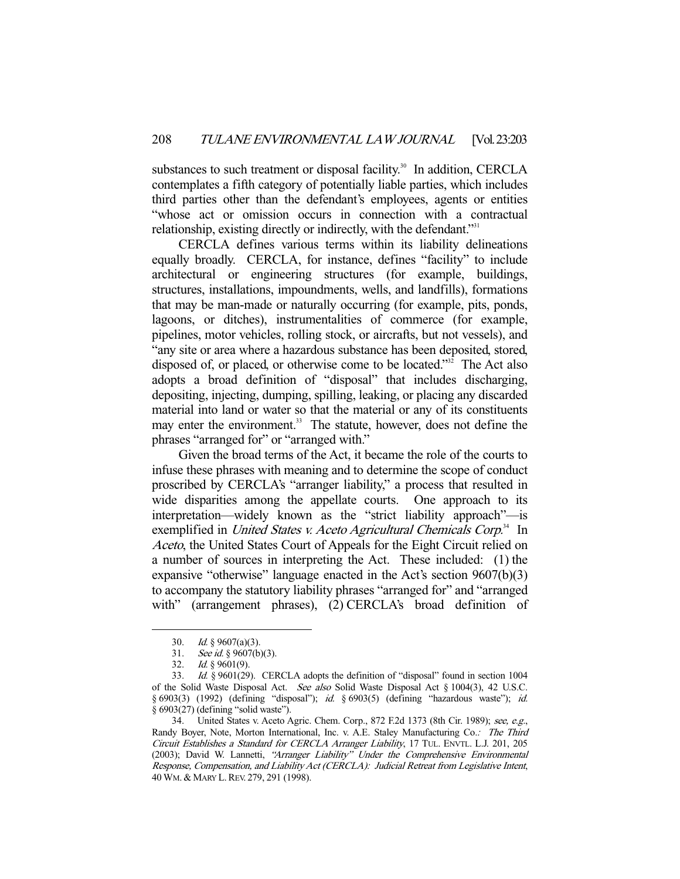substances to such treatment or disposal facility.<sup>30</sup> In addition, CERCLA contemplates a fifth category of potentially liable parties, which includes third parties other than the defendant's employees, agents or entities "whose act or omission occurs in connection with a contractual relationship, existing directly or indirectly, with the defendant."<sup>31</sup>

 CERCLA defines various terms within its liability delineations equally broadly. CERCLA, for instance, defines "facility" to include architectural or engineering structures (for example, buildings, structures, installations, impoundments, wells, and landfills), formations that may be man-made or naturally occurring (for example, pits, ponds, lagoons, or ditches), instrumentalities of commerce (for example, pipelines, motor vehicles, rolling stock, or aircrafts, but not vessels), and "any site or area where a hazardous substance has been deposited, stored, disposed of, or placed, or otherwise come to be located." $32^{\circ}$  The Act also adopts a broad definition of "disposal" that includes discharging, depositing, injecting, dumping, spilling, leaking, or placing any discarded material into land or water so that the material or any of its constituents may enter the environment.<sup>33</sup> The statute, however, does not define the phrases "arranged for" or "arranged with."

 Given the broad terms of the Act, it became the role of the courts to infuse these phrases with meaning and to determine the scope of conduct proscribed by CERCLA's "arranger liability," a process that resulted in wide disparities among the appellate courts. One approach to its interpretation—widely known as the "strict liability approach"—is exemplified in United States v. Aceto Agricultural Chemicals Corp.<sup>34</sup> In Aceto, the United States Court of Appeals for the Eight Circuit relied on a number of sources in interpreting the Act. These included: (1) the expansive "otherwise" language enacted in the Act's section 9607(b)(3) to accompany the statutory liability phrases "arranged for" and "arranged with" (arrangement phrases), (2) CERCLA's broad definition of

<sup>30.</sup> *Id.*  $\sqrt{9607(a)(3)}$ .

 <sup>31.</sup> See id. § 9607(b)(3).

 <sup>32.</sup> Id. § 9601(9).

 <sup>33.</sup> Id. § 9601(29). CERCLA adopts the definition of "disposal" found in section 1004 of the Solid Waste Disposal Act. See also Solid Waste Disposal Act § 1004(3), 42 U.S.C. § 6903(3) (1992) (defining "disposal"); id. § 6903(5) (defining "hazardous waste"); id. § 6903(27) (defining "solid waste").

 <sup>34.</sup> United States v. Aceto Agric. Chem. Corp., 872 F.2d 1373 (8th Cir. 1989); see, e.g., Randy Boyer, Note, Morton International, Inc. v. A.E. Staley Manufacturing Co.: The Third Circuit Establishes a Standard for CERCLA Arranger Liability, 17 TUL. ENVTL. L.J. 201, 205 (2003); David W. Lannetti, "Arranger Liability" Under the Comprehensive Environmental Response, Compensation, and Liability Act (CERCLA): Judicial Retreat from Legislative Intent, 40 WM. & MARY L.REV. 279, 291 (1998).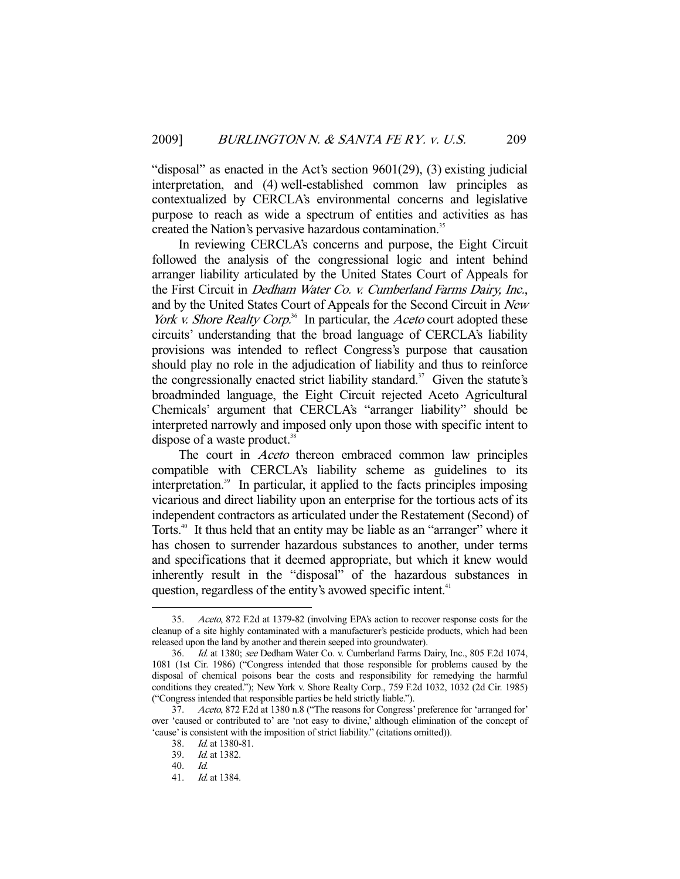"disposal" as enacted in the Act's section 9601(29), (3) existing judicial interpretation, and (4) well-established common law principles as contextualized by CERCLA's environmental concerns and legislative purpose to reach as wide a spectrum of entities and activities as has created the Nation's pervasive hazardous contamination.<sup>35</sup>

 In reviewing CERCLA's concerns and purpose, the Eight Circuit followed the analysis of the congressional logic and intent behind arranger liability articulated by the United States Court of Appeals for the First Circuit in Dedham Water Co. v. Cumberland Farms Dairy, Inc., and by the United States Court of Appeals for the Second Circuit in New *York v. Shore Realty Corp*<sup>36</sup> In particular, the *Aceto* court adopted these circuits' understanding that the broad language of CERCLA's liability provisions was intended to reflect Congress's purpose that causation should play no role in the adjudication of liability and thus to reinforce the congressionally enacted strict liability standard.<sup>37</sup> Given the statute's broadminded language, the Eight Circuit rejected Aceto Agricultural Chemicals' argument that CERCLA's "arranger liability" should be interpreted narrowly and imposed only upon those with specific intent to dispose of a waste product. $38$ 

The court in *Aceto* thereon embraced common law principles compatible with CERCLA's liability scheme as guidelines to its interpretation.<sup>39</sup> In particular, it applied to the facts principles imposing vicarious and direct liability upon an enterprise for the tortious acts of its independent contractors as articulated under the Restatement (Second) of Torts.<sup>40</sup> It thus held that an entity may be liable as an "arranger" where it has chosen to surrender hazardous substances to another, under terms and specifications that it deemed appropriate, but which it knew would inherently result in the "disposal" of the hazardous substances in question, regardless of the entity's avowed specific intent.<sup>41</sup>

 <sup>35.</sup> Aceto, 872 F.2d at 1379-82 (involving EPA's action to recover response costs for the cleanup of a site highly contaminated with a manufacturer's pesticide products, which had been released upon the land by another and therein seeped into groundwater).

 <sup>36.</sup> Id. at 1380; see Dedham Water Co. v. Cumberland Farms Dairy, Inc., 805 F.2d 1074, 1081 (1st Cir. 1986) ("Congress intended that those responsible for problems caused by the disposal of chemical poisons bear the costs and responsibility for remedying the harmful conditions they created."); New York v. Shore Realty Corp., 759 F.2d 1032, 1032 (2d Cir. 1985) ("Congress intended that responsible parties be held strictly liable.").

 <sup>37.</sup> Aceto, 872 F.2d at 1380 n.8 ("The reasons for Congress' preference for 'arranged for' over 'caused or contributed to' are 'not easy to divine,' although elimination of the concept of 'cause' is consistent with the imposition of strict liability." (citations omitted)).

 <sup>38.</sup> Id. at 1380-81.

 <sup>39.</sup> Id. at 1382.

 <sup>40.</sup> Id.

 <sup>41.</sup> Id. at 1384.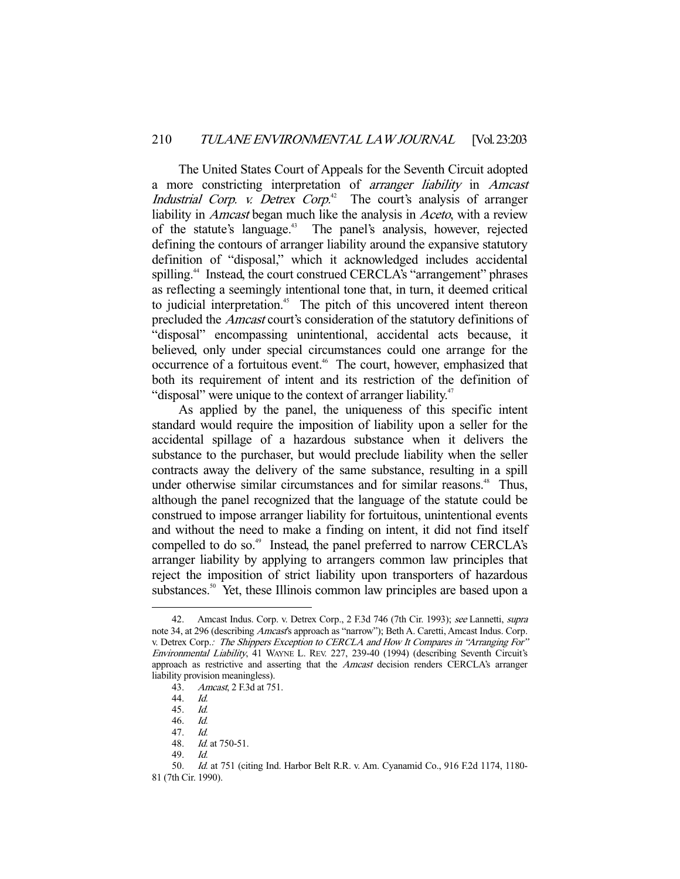The United States Court of Appeals for the Seventh Circuit adopted a more constricting interpretation of arranger liability in Amcast Industrial Corp. v. Detrex Corp.<sup>42</sup> The court's analysis of arranger liability in *Amcast* began much like the analysis in *Aceto*, with a review of the statute's language.<sup>43</sup> The panel's analysis, however, rejected defining the contours of arranger liability around the expansive statutory definition of "disposal," which it acknowledged includes accidental spilling.<sup>44</sup> Instead, the court construed CERCLA's "arrangement" phrases as reflecting a seemingly intentional tone that, in turn, it deemed critical to judicial interpretation.<sup>45</sup> The pitch of this uncovered intent thereon precluded the Amcast court's consideration of the statutory definitions of "disposal" encompassing unintentional, accidental acts because, it believed, only under special circumstances could one arrange for the occurrence of a fortuitous event.<sup>46</sup> The court, however, emphasized that both its requirement of intent and its restriction of the definition of "disposal" were unique to the context of arranger liability.<sup>47</sup>

 As applied by the panel, the uniqueness of this specific intent standard would require the imposition of liability upon a seller for the accidental spillage of a hazardous substance when it delivers the substance to the purchaser, but would preclude liability when the seller contracts away the delivery of the same substance, resulting in a spill under otherwise similar circumstances and for similar reasons.<sup>48</sup> Thus, although the panel recognized that the language of the statute could be construed to impose arranger liability for fortuitous, unintentional events and without the need to make a finding on intent, it did not find itself compelled to do so.<sup>49</sup> Instead, the panel preferred to narrow CERCLA's arranger liability by applying to arrangers common law principles that reject the imposition of strict liability upon transporters of hazardous substances.<sup>50</sup> Yet, these Illinois common law principles are based upon a

<sup>42.</sup> Amcast Indus. Corp. v. Detrex Corp., 2 F.3d 746 (7th Cir. 1993); see Lannetti, supra note 34, at 296 (describing *Amcast's* approach as "narrow"); Beth A. Caretti, Amcast Indus. Corp. v. Detrex Corp.: The Shippers Exception to CERCLA and How It Compares in "Arranging For" Environmental Liability, 41 WAYNE L. REV. 227, 239-40 (1994) (describing Seventh Circuit's approach as restrictive and asserting that the *Amcast* decision renders CERCLA's arranger liability provision meaningless).

 <sup>43.</sup> Amcast, 2 F.3d at 751.

 <sup>44.</sup> Id.

 <sup>45.</sup> Id.

 <sup>46.</sup> Id.

 <sup>47.</sup> Id.

 <sup>48.</sup> Id. at 750-51.

 <sup>49.</sup> Id.

 <sup>50.</sup> Id. at 751 (citing Ind. Harbor Belt R.R. v. Am. Cyanamid Co., 916 F.2d 1174, 1180- 81 (7th Cir. 1990).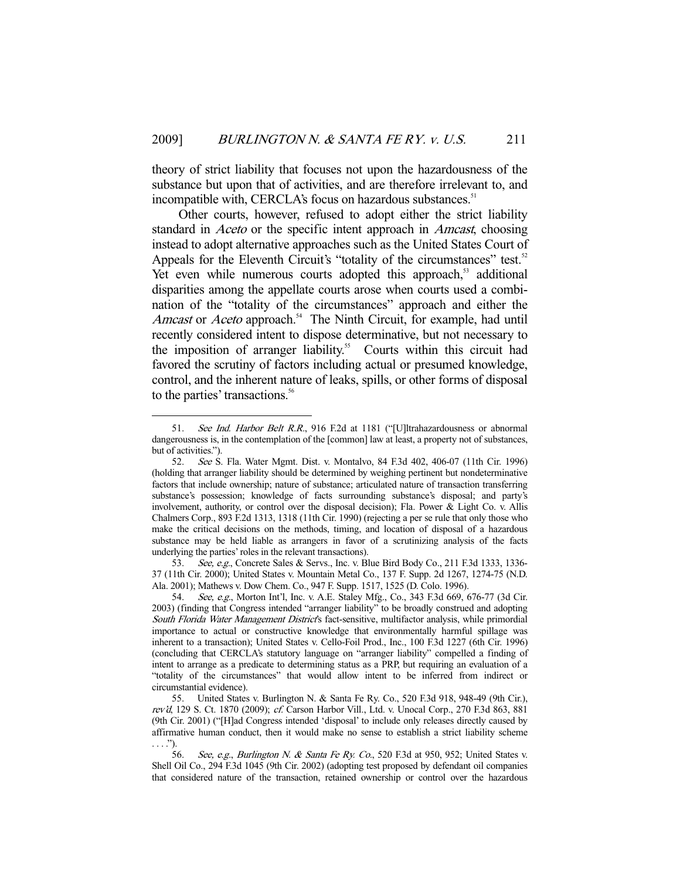theory of strict liability that focuses not upon the hazardousness of the substance but upon that of activities, and are therefore irrelevant to, and incompatible with, CERCLA's focus on hazardous substances.<sup>51</sup>

 Other courts, however, refused to adopt either the strict liability standard in *Aceto* or the specific intent approach in *Amcast*, choosing instead to adopt alternative approaches such as the United States Court of Appeals for the Eleventh Circuit's "totality of the circumstances" test.<sup>52</sup> Yet even while numerous courts adopted this approach,<sup>53</sup> additional disparities among the appellate courts arose when courts used a combination of the "totality of the circumstances" approach and either the Amcast or Aceto approach.<sup>54</sup> The Ninth Circuit, for example, had until recently considered intent to dispose determinative, but not necessary to the imposition of arranger liability.<sup>55</sup> Courts within this circuit had favored the scrutiny of factors including actual or presumed knowledge, control, and the inherent nature of leaks, spills, or other forms of disposal to the parties' transactions.<sup>56</sup>

-

 53. See, e.g., Concrete Sales & Servs., Inc. v. Blue Bird Body Co., 211 F.3d 1333, 1336- 37 (11th Cir. 2000); United States v. Mountain Metal Co., 137 F. Supp. 2d 1267, 1274-75 (N.D. Ala. 2001); Mathews v. Dow Chem. Co., 947 F. Supp. 1517, 1525 (D. Colo. 1996).

<sup>51.</sup> See Ind. Harbor Belt R.R., 916 F.2d at 1181 ("[U]ltrahazardousness or abnormal dangerousness is, in the contemplation of the [common] law at least, a property not of substances, but of activities.").

 <sup>52.</sup> See S. Fla. Water Mgmt. Dist. v. Montalvo, 84 F.3d 402, 406-07 (11th Cir. 1996) (holding that arranger liability should be determined by weighing pertinent but nondeterminative factors that include ownership; nature of substance; articulated nature of transaction transferring substance's possession; knowledge of facts surrounding substance's disposal; and party's involvement, authority, or control over the disposal decision); Fla. Power & Light Co. v. Allis Chalmers Corp., 893 F.2d 1313, 1318 (11th Cir. 1990) (rejecting a per se rule that only those who make the critical decisions on the methods, timing, and location of disposal of a hazardous substance may be held liable as arrangers in favor of a scrutinizing analysis of the facts underlying the parties' roles in the relevant transactions).

 <sup>54.</sup> See, e.g., Morton Int'l, Inc. v. A.E. Staley Mfg., Co., 343 F.3d 669, 676-77 (3d Cir. 2003) (finding that Congress intended "arranger liability" to be broadly construed and adopting South Florida Water Management District's fact-sensitive, multifactor analysis, while primordial importance to actual or constructive knowledge that environmentally harmful spillage was inherent to a transaction); United States v. Cello-Foil Prod., Inc., 100 F.3d 1227 (6th Cir. 1996) (concluding that CERCLA's statutory language on "arranger liability" compelled a finding of intent to arrange as a predicate to determining status as a PRP, but requiring an evaluation of a "totality of the circumstances" that would allow intent to be inferred from indirect or circumstantial evidence).

 <sup>55.</sup> United States v. Burlington N. & Santa Fe Ry. Co., 520 F.3d 918, 948-49 (9th Cir.), rev'd, 129 S. Ct. 1870 (2009); cf. Carson Harbor Vill., Ltd. v. Unocal Corp., 270 F.3d 863, 881 (9th Cir. 2001) ("[H]ad Congress intended 'disposal' to include only releases directly caused by affirmative human conduct, then it would make no sense to establish a strict liability scheme . . . .").

<sup>56.</sup> See, e.g., Burlington N. & Santa Fe Ry. Co., 520 F.3d at 950, 952; United States v. Shell Oil Co., 294 F.3d 1045 (9th Cir. 2002) (adopting test proposed by defendant oil companies that considered nature of the transaction, retained ownership or control over the hazardous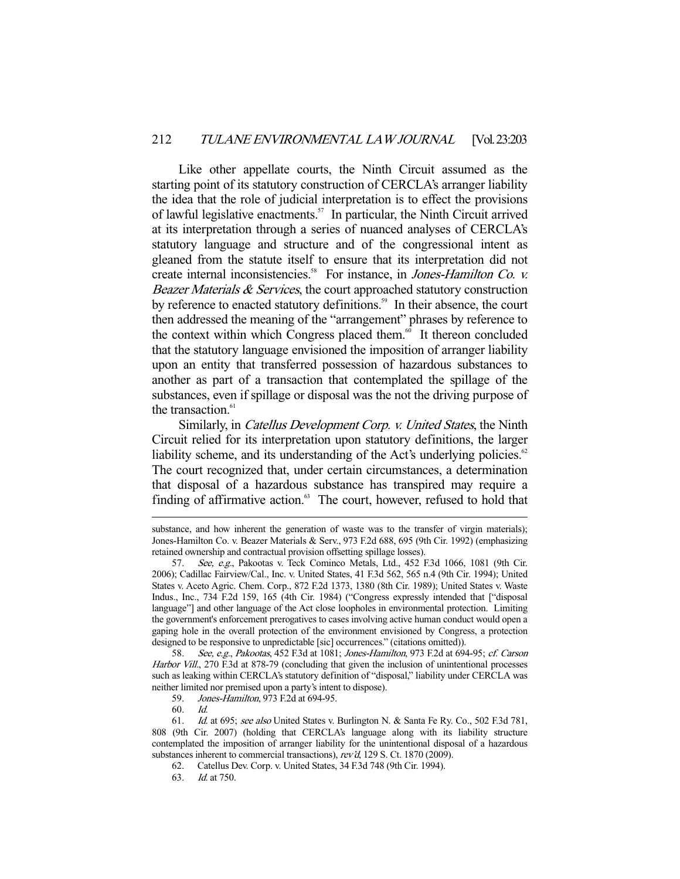Like other appellate courts, the Ninth Circuit assumed as the starting point of its statutory construction of CERCLA's arranger liability the idea that the role of judicial interpretation is to effect the provisions of lawful legislative enactments.57 In particular, the Ninth Circuit arrived at its interpretation through a series of nuanced analyses of CERCLA's statutory language and structure and of the congressional intent as gleaned from the statute itself to ensure that its interpretation did not create internal inconsistencies.<sup>58</sup> For instance, in Jones-Hamilton Co. v. Beazer Materials  $\&$  Services, the court approached statutory construction by reference to enacted statutory definitions.<sup>59</sup> In their absence, the court then addressed the meaning of the "arrangement" phrases by reference to the context within which Congress placed them. $60$  It thereon concluded that the statutory language envisioned the imposition of arranger liability upon an entity that transferred possession of hazardous substances to another as part of a transaction that contemplated the spillage of the substances, even if spillage or disposal was the not the driving purpose of the transaction.<sup>61</sup>

Similarly, in *Catellus Development Corp. v. United States*, the Ninth Circuit relied for its interpretation upon statutory definitions, the larger liability scheme, and its understanding of the Act's underlying policies.<sup>62</sup> The court recognized that, under certain circumstances, a determination that disposal of a hazardous substance has transpired may require a finding of affirmative action.<sup>63</sup> The court, however, refused to hold that

58. See, e.g., Pakootas, 452 F.3d at 1081; Jones-Hamilton, 973 F.2d at 694-95; cf. Carson Harbor Vill., 270 F.3d at 878-79 (concluding that given the inclusion of unintentional processes such as leaking within CERCLA's statutory definition of "disposal," liability under CERCLA was neither limited nor premised upon a party's intent to dispose).

59. Jones-Hamilton, 973 F.2d at 694-95.

60. Id.

substance, and how inherent the generation of waste was to the transfer of virgin materials); Jones-Hamilton Co. v. Beazer Materials & Serv., 973 F.2d 688, 695 (9th Cir. 1992) (emphasizing retained ownership and contractual provision offsetting spillage losses).

 <sup>57.</sup> See, e.g., Pakootas v. Teck Cominco Metals, Ltd., 452 F.3d 1066, 1081 (9th Cir. 2006); Cadillac Fairview/Cal., Inc. v. United States, 41 F.3d 562, 565 n.4 (9th Cir. 1994); United States v. Aceto Agric. Chem. Corp., 872 F.2d 1373, 1380 (8th Cir. 1989); United States v. Waste Indus., Inc., 734 F.2d 159, 165 (4th Cir. 1984) ("Congress expressly intended that ["disposal language"] and other language of the Act close loopholes in environmental protection. Limiting the government's enforcement prerogatives to cases involving active human conduct would open a gaping hole in the overall protection of the environment envisioned by Congress, a protection designed to be responsive to unpredictable [sic] occurrences." (citations omitted)).

 <sup>61.</sup> Id. at 695; see also United States v. Burlington N. & Santa Fe Ry. Co., 502 F.3d 781, 808 (9th Cir. 2007) (holding that CERCLA's language along with its liability structure contemplated the imposition of arranger liability for the unintentional disposal of a hazardous substances inherent to commercial transactions), rev'd, 129 S. Ct. 1870 (2009).

 <sup>62.</sup> Catellus Dev. Corp. v. United States, 34 F.3d 748 (9th Cir. 1994).

 <sup>63.</sup> Id. at 750.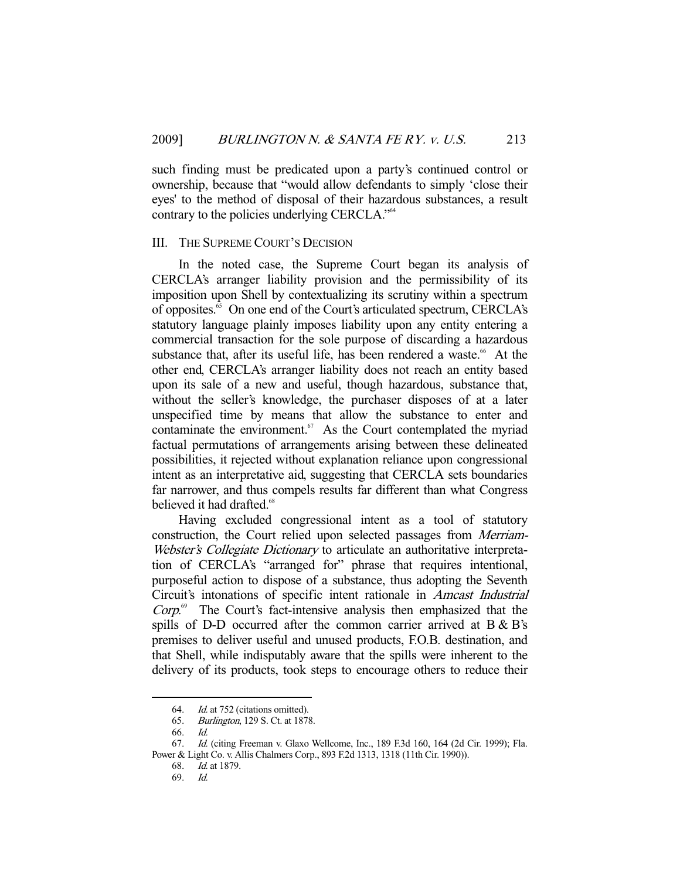such finding must be predicated upon a party's continued control or ownership, because that "would allow defendants to simply 'close their eyes' to the method of disposal of their hazardous substances, a result contrary to the policies underlying CERCLA."64

# III. THE SUPREME COURT'S DECISION

 In the noted case, the Supreme Court began its analysis of CERCLA's arranger liability provision and the permissibility of its imposition upon Shell by contextualizing its scrutiny within a spectrum of opposites.65 On one end of the Court's articulated spectrum, CERCLA's statutory language plainly imposes liability upon any entity entering a commercial transaction for the sole purpose of discarding a hazardous substance that, after its useful life, has been rendered a waste.<sup>66</sup> At the other end, CERCLA's arranger liability does not reach an entity based upon its sale of a new and useful, though hazardous, substance that, without the seller's knowledge, the purchaser disposes of at a later unspecified time by means that allow the substance to enter and contaminate the environment. $67$  As the Court contemplated the myriad factual permutations of arrangements arising between these delineated possibilities, it rejected without explanation reliance upon congressional intent as an interpretative aid, suggesting that CERCLA sets boundaries far narrower, and thus compels results far different than what Congress believed it had drafted.<sup>68</sup>

 Having excluded congressional intent as a tool of statutory construction, the Court relied upon selected passages from Merriam-Webster's Collegiate Dictionary to articulate an authoritative interpretation of CERCLA's "arranged for" phrase that requires intentional, purposeful action to dispose of a substance, thus adopting the Seventh Circuit's intonations of specific intent rationale in Amcast Industrial  $Corp$ <sup>69</sup> The Court's fact-intensive analysis then emphasized that the spills of D-D occurred after the common carrier arrived at B & B's premises to deliver useful and unused products, F.O.B. destination, and that Shell, while indisputably aware that the spills were inherent to the delivery of its products, took steps to encourage others to reduce their

 <sup>64.</sup> Id. at 752 (citations omitted).

 <sup>65.</sup> Burlington, 129 S. Ct. at 1878.

 <sup>66.</sup> Id.

 <sup>67.</sup> Id. (citing Freeman v. Glaxo Wellcome, Inc., 189 F.3d 160, 164 (2d Cir. 1999); Fla. Power & Light Co. v. Allis Chalmers Corp., 893 F.2d 1313, 1318 (11th Cir. 1990)).

 <sup>68.</sup> Id. at 1879.

 <sup>69.</sup> Id.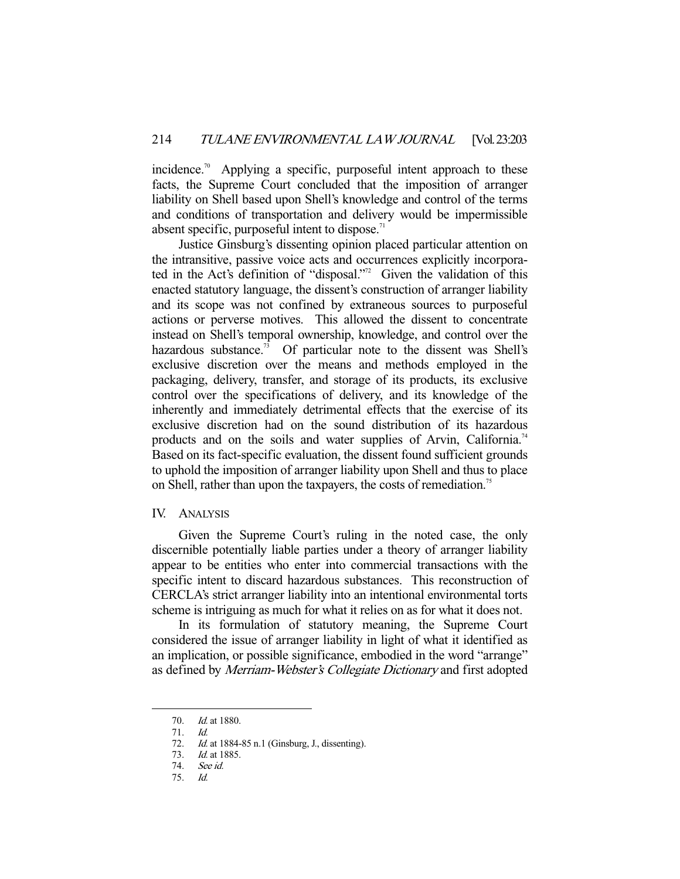incidence.<sup>70</sup> Applying a specific, purposeful intent approach to these facts, the Supreme Court concluded that the imposition of arranger liability on Shell based upon Shell's knowledge and control of the terms and conditions of transportation and delivery would be impermissible absent specific, purposeful intent to dispose. $\frac{7}{1}$ 

 Justice Ginsburg's dissenting opinion placed particular attention on the intransitive, passive voice acts and occurrences explicitly incorporated in the Act's definition of "disposal."<sup>22</sup> Given the validation of this enacted statutory language, the dissent's construction of arranger liability and its scope was not confined by extraneous sources to purposeful actions or perverse motives. This allowed the dissent to concentrate instead on Shell's temporal ownership, knowledge, and control over the hazardous substance.<sup>73</sup> Of particular note to the dissent was Shell's exclusive discretion over the means and methods employed in the packaging, delivery, transfer, and storage of its products, its exclusive control over the specifications of delivery, and its knowledge of the inherently and immediately detrimental effects that the exercise of its exclusive discretion had on the sound distribution of its hazardous products and on the soils and water supplies of Arvin, California.<sup>74</sup> Based on its fact-specific evaluation, the dissent found sufficient grounds to uphold the imposition of arranger liability upon Shell and thus to place on Shell, rather than upon the taxpayers, the costs of remediation.<sup>75</sup>

## IV. ANALYSIS

 Given the Supreme Court's ruling in the noted case, the only discernible potentially liable parties under a theory of arranger liability appear to be entities who enter into commercial transactions with the specific intent to discard hazardous substances. This reconstruction of CERCLA's strict arranger liability into an intentional environmental torts scheme is intriguing as much for what it relies on as for what it does not.

 In its formulation of statutory meaning, the Supreme Court considered the issue of arranger liability in light of what it identified as an implication, or possible significance, embodied in the word "arrange" as defined by Merriam-Webster's Collegiate Dictionary and first adopted

<sup>70.</sup> *Id.* at 1880.

 <sup>71.</sup> Id.

<sup>72.</sup> *Id.* at 1884-85 n.1 (Ginsburg, J., dissenting).

 <sup>73.</sup> Id. at 1885.

<sup>74.</sup> See id.<br>75. Id.

 <sup>75.</sup> Id.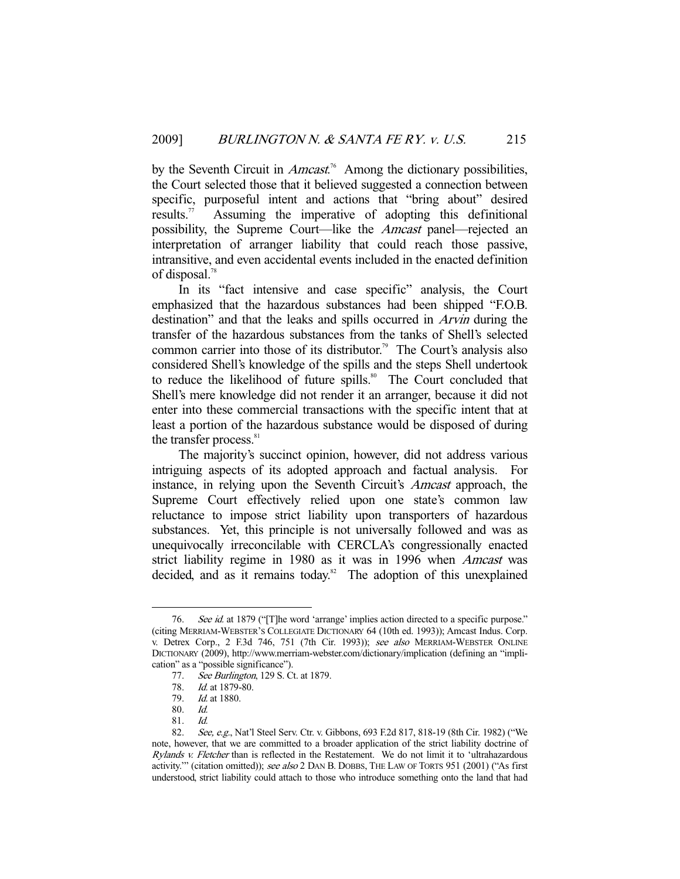by the Seventh Circuit in  $Ameast^{76}$  Among the dictionary possibilities, the Court selected those that it believed suggested a connection between specific, purposeful intent and actions that "bring about" desired results.<sup>77</sup> Assuming the imperative of adopting this definitional possibility, the Supreme Court—like the Amcast panel—rejected an interpretation of arranger liability that could reach those passive, intransitive, and even accidental events included in the enacted definition of disposal.78

 In its "fact intensive and case specific" analysis, the Court emphasized that the hazardous substances had been shipped "F.O.B. destination" and that the leaks and spills occurred in Arvin during the transfer of the hazardous substances from the tanks of Shell's selected common carrier into those of its distributor.<sup>79</sup> The Court's analysis also considered Shell's knowledge of the spills and the steps Shell undertook to reduce the likelihood of future spills.<sup>80</sup> The Court concluded that Shell's mere knowledge did not render it an arranger, because it did not enter into these commercial transactions with the specific intent that at least a portion of the hazardous substance would be disposed of during the transfer process.<sup>81</sup>

 The majority's succinct opinion, however, did not address various intriguing aspects of its adopted approach and factual analysis. For instance, in relying upon the Seventh Circuit's *Amcast* approach, the Supreme Court effectively relied upon one state's common law reluctance to impose strict liability upon transporters of hazardous substances. Yet, this principle is not universally followed and was as unequivocally irreconcilable with CERCLA's congressionally enacted strict liability regime in 1980 as it was in 1996 when Amcast was decided, and as it remains today.<sup>82</sup> The adoption of this unexplained

<sup>76.</sup> See id. at 1879 ("[T]he word 'arrange' implies action directed to a specific purpose." (citing MERRIAM-WEBSTER'S COLLEGIATE DICTIONARY 64 (10th ed. 1993)); Amcast Indus. Corp. v. Detrex Corp., 2 F.3d 746, 751 (7th Cir. 1993)); see also MERRIAM-WEBSTER ONLINE DICTIONARY (2009), http://www.merriam-webster.com/dictionary/implication (defining an "implication" as a "possible significance").

<sup>77.</sup> See Burlington, 129 S. Ct. at 1879.

<sup>78.</sup> *Id.* at 1879-80.<br>79. *Id.* at 1880.

*Id.* at 1880.

 <sup>80.</sup> Id.

 <sup>81.</sup> Id.

<sup>82.</sup> See, e.g., Nat'l Steel Serv. Ctr. v. Gibbons, 693 F.2d 817, 818-19 (8th Cir. 1982) ("We note, however, that we are committed to a broader application of the strict liability doctrine of Rylands v. Fletcher than is reflected in the Restatement. We do not limit it to 'ultrahazardous activity."" (citation omitted)); see also 2 DAN B. DOBBS, THE LAW OF TORTS 951 (2001) ("As first understood, strict liability could attach to those who introduce something onto the land that had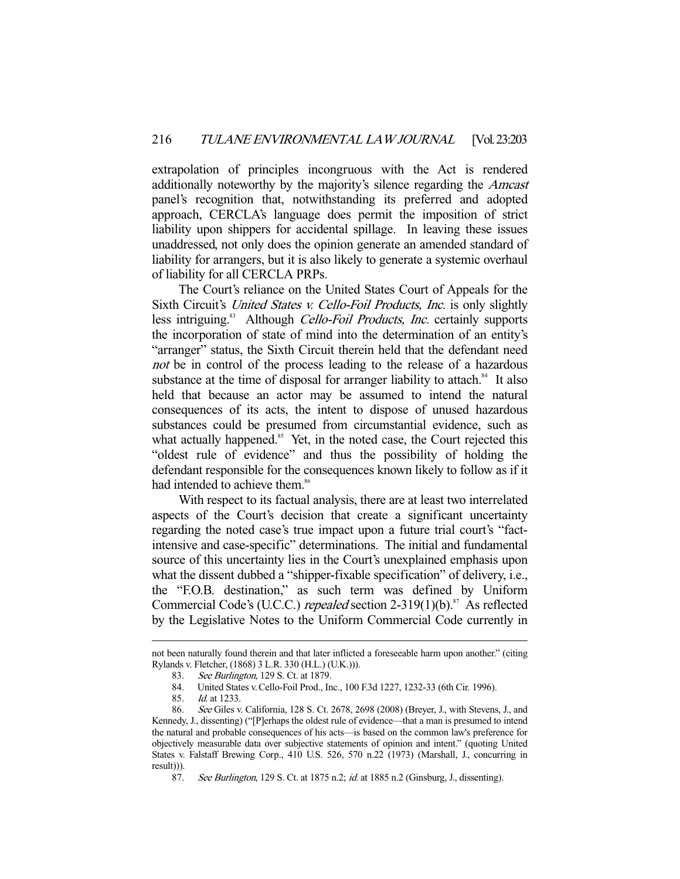extrapolation of principles incongruous with the Act is rendered additionally noteworthy by the majority's silence regarding the Amcast panel's recognition that, notwithstanding its preferred and adopted approach, CERCLA's language does permit the imposition of strict liability upon shippers for accidental spillage. In leaving these issues unaddressed, not only does the opinion generate an amended standard of liability for arrangers, but it is also likely to generate a systemic overhaul of liability for all CERCLA PRPs.

 The Court's reliance on the United States Court of Appeals for the Sixth Circuit's United States v. Cello-Foil Products, Inc. is only slightly less intriguing.<sup>83</sup> Although *Cello-Foil Products, Inc.* certainly supports the incorporation of state of mind into the determination of an entity's "arranger" status, the Sixth Circuit therein held that the defendant need not be in control of the process leading to the release of a hazardous substance at the time of disposal for arranger liability to attach.<sup>84</sup> It also held that because an actor may be assumed to intend the natural consequences of its acts, the intent to dispose of unused hazardous substances could be presumed from circumstantial evidence, such as what actually happened.<sup>85</sup> Yet, in the noted case, the Court rejected this "oldest rule of evidence" and thus the possibility of holding the defendant responsible for the consequences known likely to follow as if it had intended to achieve them.<sup>86</sup>

 With respect to its factual analysis, there are at least two interrelated aspects of the Court's decision that create a significant uncertainty regarding the noted case's true impact upon a future trial court's "factintensive and case-specific" determinations. The initial and fundamental source of this uncertainty lies in the Court's unexplained emphasis upon what the dissent dubbed a "shipper-fixable specification" of delivery, i.e., the "F.O.B. destination," as such term was defined by Uniform Commercial Code's (U.C.C.) repealed section 2-319(1)(b).<sup>87</sup> As reflected by the Legislative Notes to the Uniform Commercial Code currently in

not been naturally found therein and that later inflicted a foreseeable harm upon another." (citing Rylands v. Fletcher, (1868) 3 L.R. 330 (H.L.) (U.K.))).

<sup>83.</sup> See Burlington, 129 S. Ct. at 1879.<br>84. United States v. Cello-Foil Prod. In

 <sup>84.</sup> United States v.Cello-Foil Prod., Inc., 100 F.3d 1227, 1232-33 (6th Cir. 1996).

 <sup>85.</sup> Id. at 1233.

 <sup>86.</sup> See Giles v. California, 128 S. Ct. 2678, 2698 (2008) (Breyer, J., with Stevens, J., and Kennedy, J., dissenting) ("[P]erhaps the oldest rule of evidence—that a man is presumed to intend the natural and probable consequences of his acts—is based on the common law's preference for objectively measurable data over subjective statements of opinion and intent." (quoting United States v. Falstaff Brewing Corp., 410 U.S. 526, 570 n.22 (1973) (Marshall, J., concurring in result))).

<sup>87.</sup> See Burlington, 129 S. Ct. at 1875 n.2; id. at 1885 n.2 (Ginsburg, J., dissenting).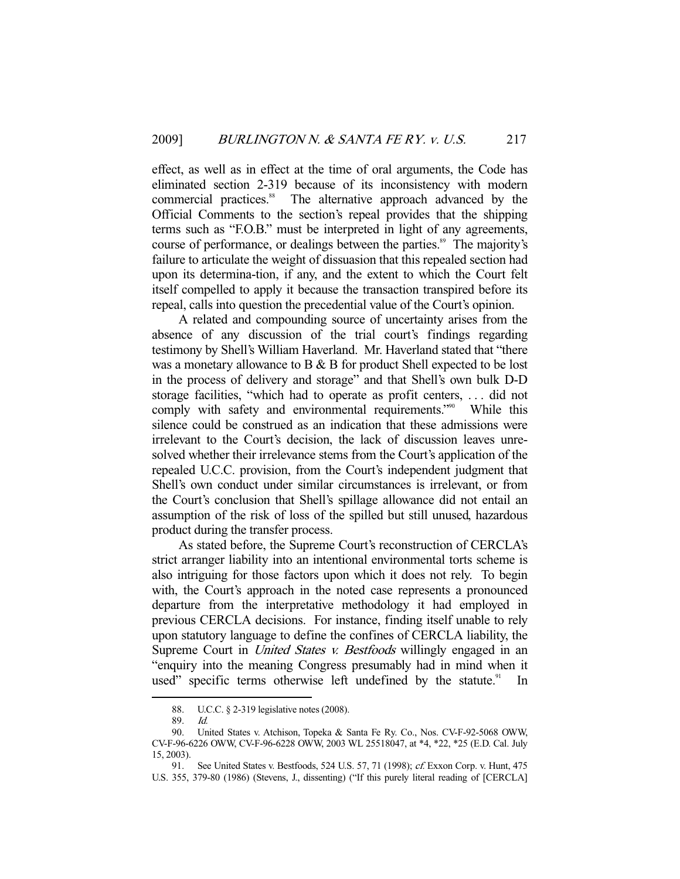effect, as well as in effect at the time of oral arguments, the Code has eliminated section 2-319 because of its inconsistency with modern commercial practices.<sup>88</sup> The alternative approach advanced by the Official Comments to the section's repeal provides that the shipping terms such as "F.O.B." must be interpreted in light of any agreements, course of performance, or dealings between the parties.<sup>89</sup> The majority's failure to articulate the weight of dissuasion that this repealed section had upon its determina-tion, if any, and the extent to which the Court felt itself compelled to apply it because the transaction transpired before its repeal, calls into question the precedential value of the Court's opinion.

 A related and compounding source of uncertainty arises from the absence of any discussion of the trial court's findings regarding testimony by Shell's William Haverland. Mr. Haverland stated that "there was a monetary allowance to B & B for product Shell expected to be lost in the process of delivery and storage" and that Shell's own bulk D-D storage facilities, "which had to operate as profit centers, . . . did not comply with safety and environmental requirements."<sup>90</sup> While this silence could be construed as an indication that these admissions were irrelevant to the Court's decision, the lack of discussion leaves unresolved whether their irrelevance stems from the Court's application of the repealed U.C.C. provision, from the Court's independent judgment that Shell's own conduct under similar circumstances is irrelevant, or from the Court's conclusion that Shell's spillage allowance did not entail an assumption of the risk of loss of the spilled but still unused, hazardous product during the transfer process.

 As stated before, the Supreme Court's reconstruction of CERCLA's strict arranger liability into an intentional environmental torts scheme is also intriguing for those factors upon which it does not rely. To begin with, the Court's approach in the noted case represents a pronounced departure from the interpretative methodology it had employed in previous CERCLA decisions. For instance, finding itself unable to rely upon statutory language to define the confines of CERCLA liability, the Supreme Court in *United States v. Bestfoods* willingly engaged in an "enquiry into the meaning Congress presumably had in mind when it used" specific terms otherwise left undefined by the statute. $91$  In

 <sup>88.</sup> U.C.C. § 2-319 legislative notes (2008).

 <sup>89.</sup> Id.

 <sup>90.</sup> United States v. Atchison, Topeka & Santa Fe Ry. Co., Nos. CV-F-92-5068 OWW, CV-F-96-6226 OWW, CV-F-96-6228 OWW, 2003 WL 25518047, at \*4, \*22, \*25 (E.D. Cal. July 15, 2003).

<sup>91.</sup> See United States v. Bestfoods, 524 U.S. 57, 71 (1998); cf. Exxon Corp. v. Hunt, 475 U.S. 355, 379-80 (1986) (Stevens, J., dissenting) ("If this purely literal reading of [CERCLA]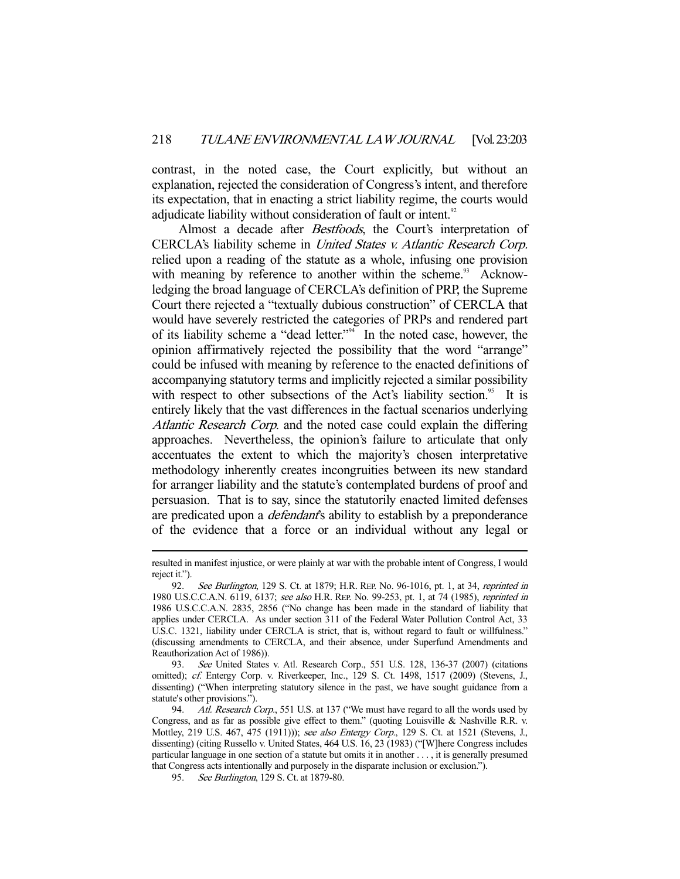contrast, in the noted case, the Court explicitly, but without an explanation, rejected the consideration of Congress's intent, and therefore its expectation, that in enacting a strict liability regime, the courts would adjudicate liability without consideration of fault or intent.<sup>92</sup>

Almost a decade after Bestfoods, the Court's interpretation of CERCLA's liability scheme in United States v. Atlantic Research Corp. relied upon a reading of the statute as a whole, infusing one provision with meaning by reference to another within the scheme.<sup>93</sup> Acknowledging the broad language of CERCLA's definition of PRP, the Supreme Court there rejected a "textually dubious construction" of CERCLA that would have severely restricted the categories of PRPs and rendered part of its liability scheme a "dead letter."94 In the noted case, however, the opinion affirmatively rejected the possibility that the word "arrange" could be infused with meaning by reference to the enacted definitions of accompanying statutory terms and implicitly rejected a similar possibility with respect to other subsections of the Act's liability section.<sup>95</sup> It is entirely likely that the vast differences in the factual scenarios underlying Atlantic Research Corp. and the noted case could explain the differing approaches. Nevertheless, the opinion's failure to articulate that only accentuates the extent to which the majority's chosen interpretative methodology inherently creates incongruities between its new standard for arranger liability and the statute's contemplated burdens of proof and persuasion. That is to say, since the statutorily enacted limited defenses are predicated upon a *defendant*'s ability to establish by a preponderance of the evidence that a force or an individual without any legal or

 93. See United States v. Atl. Research Corp., 551 U.S. 128, 136-37 (2007) (citations omitted); cf. Entergy Corp. v. Riverkeeper, Inc., 129 S. Ct. 1498, 1517 (2009) (Stevens, J., dissenting) ("When interpreting statutory silence in the past, we have sought guidance from a statute's other provisions.").

resulted in manifest injustice, or were plainly at war with the probable intent of Congress, I would reject it.").

<sup>92.</sup> See Burlington, 129 S. Ct. at 1879; H.R. REP. No. 96-1016, pt. 1, at 34, reprinted in 1980 U.S.C.C.A.N. 6119, 6137; see also H.R. REP. No. 99-253, pt. 1, at 74 (1985), reprinted in 1986 U.S.C.C.A.N. 2835, 2856 ("No change has been made in the standard of liability that applies under CERCLA. As under section 311 of the Federal Water Pollution Control Act, 33 U.S.C. 1321, liability under CERCLA is strict, that is, without regard to fault or willfulness." (discussing amendments to CERCLA, and their absence, under Superfund Amendments and Reauthorization Act of 1986)).

<sup>94.</sup> Atl. Research Corp., 551 U.S. at 137 ("We must have regard to all the words used by Congress, and as far as possible give effect to them." (quoting Louisville & Nashville R.R. v. Mottley, 219 U.S. 467, 475 (1911))); see also Entergy Corp., 129 S. Ct. at 1521 (Stevens, J., dissenting) (citing Russello v. United States, 464 U.S. 16, 23 (1983) ("[W]here Congress includes particular language in one section of a statute but omits it in another . . . , it is generally presumed that Congress acts intentionally and purposely in the disparate inclusion or exclusion.").

<sup>95.</sup> See Burlington, 129 S. Ct. at 1879-80.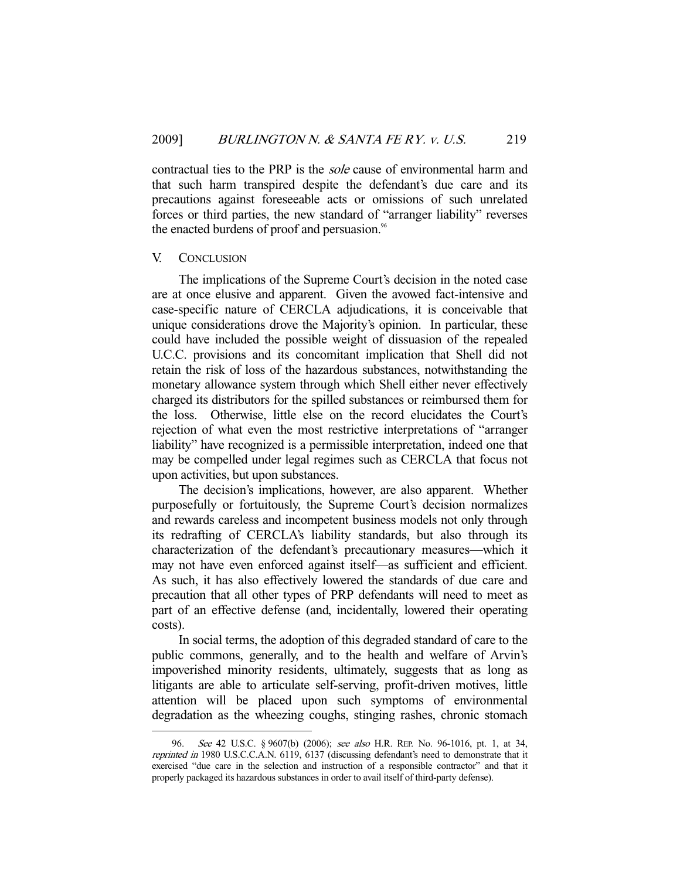contractual ties to the PRP is the sole cause of environmental harm and that such harm transpired despite the defendant's due care and its precautions against foreseeable acts or omissions of such unrelated forces or third parties, the new standard of "arranger liability" reverses the enacted burdens of proof and persuasion.<sup>96</sup>

#### V. CONCLUSION

-

 The implications of the Supreme Court's decision in the noted case are at once elusive and apparent. Given the avowed fact-intensive and case-specific nature of CERCLA adjudications, it is conceivable that unique considerations drove the Majority's opinion. In particular, these could have included the possible weight of dissuasion of the repealed U.C.C. provisions and its concomitant implication that Shell did not retain the risk of loss of the hazardous substances, notwithstanding the monetary allowance system through which Shell either never effectively charged its distributors for the spilled substances or reimbursed them for the loss. Otherwise, little else on the record elucidates the Court's rejection of what even the most restrictive interpretations of "arranger liability" have recognized is a permissible interpretation, indeed one that may be compelled under legal regimes such as CERCLA that focus not upon activities, but upon substances.

 The decision's implications, however, are also apparent. Whether purposefully or fortuitously, the Supreme Court's decision normalizes and rewards careless and incompetent business models not only through its redrafting of CERCLA's liability standards, but also through its characterization of the defendant's precautionary measures—which it may not have even enforced against itself—as sufficient and efficient. As such, it has also effectively lowered the standards of due care and precaution that all other types of PRP defendants will need to meet as part of an effective defense (and, incidentally, lowered their operating costs).

 In social terms, the adoption of this degraded standard of care to the public commons, generally, and to the health and welfare of Arvin's impoverished minority residents, ultimately, suggests that as long as litigants are able to articulate self-serving, profit-driven motives, little attention will be placed upon such symptoms of environmental degradation as the wheezing coughs, stinging rashes, chronic stomach

See 42 U.S.C. § 9607(b) (2006); see also H.R. REP. No. 96-1016, pt. 1, at 34, reprinted in 1980 U.S.C.C.A.N. 6119, 6137 (discussing defendant's need to demonstrate that it exercised "due care in the selection and instruction of a responsible contractor" and that it properly packaged its hazardous substances in order to avail itself of third-party defense).